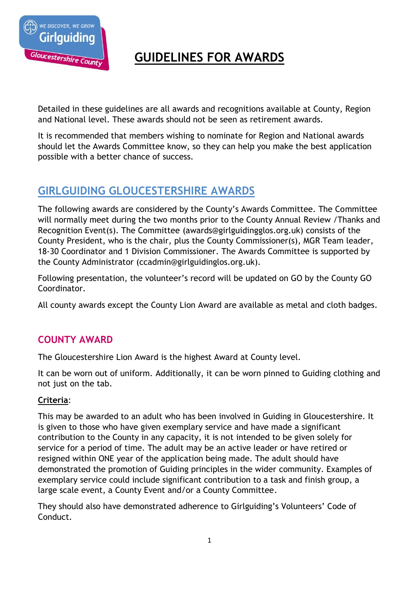

# **GUIDELINES FOR AWARDS**

Detailed in these guidelines are all awards and recognitions available at County, Region and National level. These awards should not be seen as retirement awards.

It is recommended that members wishing to nominate for Region and National awards should let the Awards Committee know, so they can help you make the best application possible with a better chance of success.

# **GIRLGUIDING GLOUCESTERSHIRE AWARDS**

The following awards are considered by the County's Awards Committee. The Committee will normally meet during the two months prior to the County Annual Review /Thanks and Recognition Event(s). The Committee (awards@girlguidingglos.org.uk) consists of the County President, who is the chair, plus the County Commissioner(s), MGR Team leader, 18-30 Coordinator and 1 Division Commissioner. The Awards Committee is supported by the County Administrator (ccadmin@girlguidinglos.org.uk).

Following presentation, the volunteer's record will be updated on GO by the County GO Coordinator.

All county awards except the County Lion Award are available as metal and cloth badges.

# **COUNTY AWARD**

The Gloucestershire Lion Award is the highest Award at County level.

It can be worn out of uniform. Additionally, it can be worn pinned to Guiding clothing and not just on the tab.

# **Criteria**:

This may be awarded to an adult who has been involved in Guiding in Gloucestershire. It is given to those who have given exemplary service and have made a significant contribution to the County in any capacity, it is not intended to be given solely for service for a period of time. The adult may be an active leader or have retired or resigned within ONE year of the application being made. The adult should have demonstrated the promotion of Guiding principles in the wider community. Examples of exemplary service could include significant contribution to a task and finish group, a large scale event, a County Event and/or a County Committee.

They should also have demonstrated adherence to Girlguiding's Volunteers' Code of Conduct.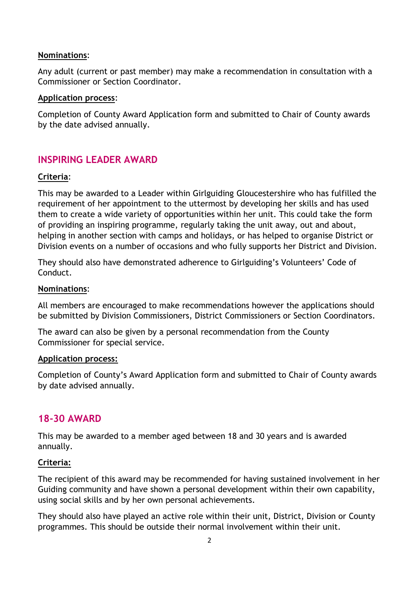#### **Nominations**:

Any adult (current or past member) may make a recommendation in consultation with a Commissioner or Section Coordinator.

#### **Application process**:

Completion of County Award Application form and submitted to Chair of County awards by the date advised annually.

# **INSPIRING LEADER AWARD**

## **Criteria**:

This may be awarded to a Leader within Girlguiding Gloucestershire who has fulfilled the requirement of her appointment to the uttermost by developing her skills and has used them to create a wide variety of opportunities within her unit. This could take the form of providing an inspiring programme, regularly taking the unit away, out and about, helping in another section with camps and holidays, or has helped to organise District or Division events on a number of occasions and who fully supports her District and Division.

They should also have demonstrated adherence to Girlguiding's Volunteers' Code of Conduct.

#### **Nominations**:

All members are encouraged to make recommendations however the applications should be submitted by Division Commissioners, District Commissioners or Section Coordinators.

The award can also be given by a personal recommendation from the County Commissioner for special service.

#### **Application process:**

Completion of County's Award Application form and submitted to Chair of County awards by date advised annually.

# **18-30 AWARD**

This may be awarded to a member aged between 18 and 30 years and is awarded annually.

## **Criteria:**

The recipient of this award may be recommended for having sustained involvement in her Guiding community and have shown a personal development within their own capability, using social skills and by her own personal achievements.

They should also have played an active role within their unit, District, Division or County programmes. This should be outside their normal involvement within their unit.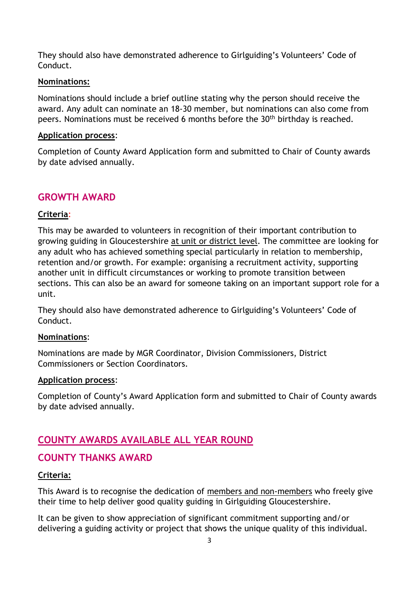They should also have demonstrated adherence to Girlguiding's Volunteers' Code of Conduct.

#### **Nominations:**

Nominations should include a brief outline stating why the person should receive the award. Any adult can nominate an 18-30 member, but nominations can also come from peers. Nominations must be received 6 months before the 30<sup>th</sup> birthday is reached.

#### **Application process**:

Completion of County Award Application form and submitted to Chair of County awards by date advised annually.

# **GROWTH AWARD**

## **Criteria**:

This may be awarded to volunteers in recognition of their important contribution to growing guiding in Gloucestershire at unit or district level. The committee are looking for any adult who has achieved something special particularly in relation to membership, retention and/or growth. For example: organising a recruitment activity, supporting another unit in difficult circumstances or working to promote transition between sections. This can also be an award for someone taking on an important support role for a unit.

They should also have demonstrated adherence to Girlguiding's Volunteers' Code of Conduct.

#### **Nominations**:

Nominations are made by MGR Coordinator, Division Commissioners, District Commissioners or Section Coordinators.

#### **Application process**:

Completion of County's Award Application form and submitted to Chair of County awards by date advised annually.

# **COUNTY AWARDS AVAILABLE ALL YEAR ROUND**

# **COUNTY THANKS AWARD**

## **Criteria:**

This Award is to recognise the dedication of members and non-members who freely give their time to help deliver good quality guiding in Girlguiding Gloucestershire.

It can be given to show appreciation of significant commitment supporting and/or delivering a guiding activity or project that shows the unique quality of this individual.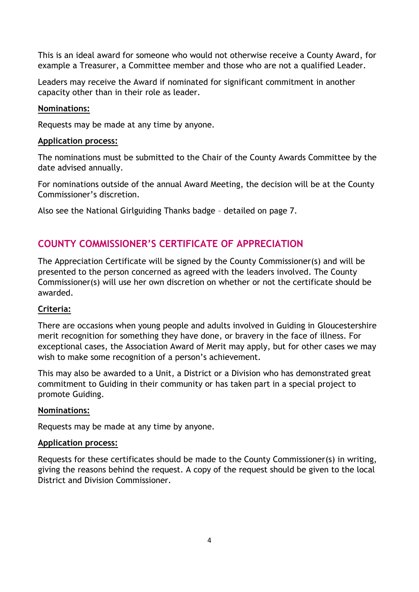This is an ideal award for someone who would not otherwise receive a County Award, for example a Treasurer, a Committee member and those who are not a qualified Leader.

Leaders may receive the Award if nominated for significant commitment in another capacity other than in their role as leader.

### **Nominations:**

Requests may be made at any time by anyone.

#### **Application process:**

The nominations must be submitted to the Chair of the County Awards Committee by the date advised annually.

For nominations outside of the annual Award Meeting, the decision will be at the County Commissioner's discretion.

Also see the National Girlguiding Thanks badge – detailed on page 7.

# **COUNTY COMMISSIONER'S CERTIFICATE OF APPRECIATION**

The Appreciation Certificate will be signed by the County Commissioner(s) and will be presented to the person concerned as agreed with the leaders involved. The County Commissioner(s) will use her own discretion on whether or not the certificate should be awarded.

## **Criteria:**

There are occasions when young people and adults involved in Guiding in Gloucestershire merit recognition for something they have done, or bravery in the face of illness. For exceptional cases, the Association Award of Merit may apply, but for other cases we may wish to make some recognition of a person's achievement.

This may also be awarded to a Unit, a District or a Division who has demonstrated great commitment to Guiding in their community or has taken part in a special project to promote Guiding.

#### **Nominations:**

Requests may be made at any time by anyone.

#### **Application process:**

Requests for these certificates should be made to the County Commissioner(s) in writing, giving the reasons behind the request. A copy of the request should be given to the local District and Division Commissioner.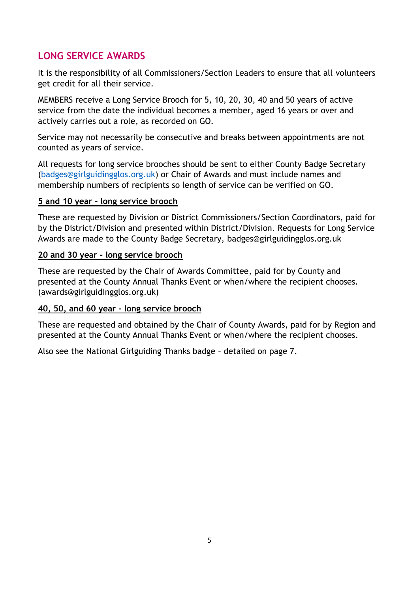# **LONG SERVICE AWARDS**

It is the responsibility of all Commissioners/Section Leaders to ensure that all volunteers get credit for all their service.

MEMBERS receive a Long Service Brooch for 5, 10, 20, 30, 40 and 50 years of active service from the date the individual becomes a member, aged 16 years or over and actively carries out a role, as recorded on GO.

Service may not necessarily be consecutive and breaks between appointments are not counted as years of service.

All requests for long service brooches should be sent to either County Badge Secretary [\(badges@girlguidingglos.org.uk\)](mailto:badges@girlguidingglos.org.uk) or Chair of Awards and must include names and membership numbers of recipients so length of service can be verified on GO.

#### **5 and 10 year - long service brooch**

These are requested by Division or District Commissioners/Section Coordinators, paid for by the District/Division and presented within District/Division. Requests for Long Service Awards are made to the County Badge Secretary, badges@girlguidingglos.org.uk

#### **20 and 30 year - long service brooch**

These are requested by the Chair of Awards Committee, paid for by County and presented at the County Annual Thanks Event or when/where the recipient chooses. (awards@girlguidingglos.org.uk)

#### **40, 50, and 60 year - long service brooch**

These are requested and obtained by the Chair of County Awards, paid for by Region and presented at the County Annual Thanks Event or when/where the recipient chooses.

Also see the National Girlguiding Thanks badge – detailed on page 7.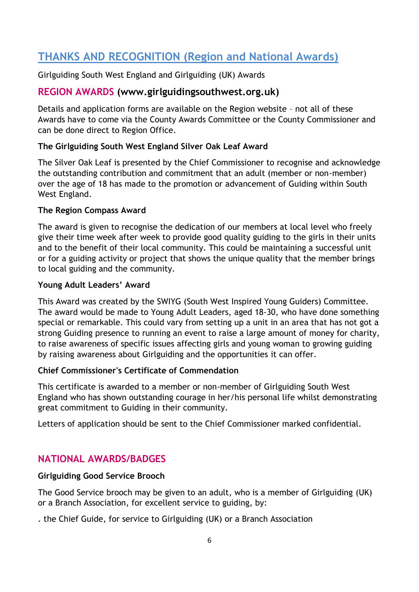# **THANKS AND RECOGNITION (Region and National Awards)**

Girlguiding South West England and Girlguiding (UK) Awards

# **REGION AWARDS (www.girlguidingsouthwest.org.uk)**

Details and application forms are available on the Region website – not all of these Awards have to come via the County Awards Committee or the County Commissioner and can be done direct to Region Office.

## **The Girlguiding South West England Silver Oak Leaf Award**

The Silver Oak Leaf is presented by the Chief Commissioner to recognise and acknowledge the outstanding contribution and commitment that an adult (member or non-member) over the age of 18 has made to the promotion or advancement of Guiding within South West England.

#### **The Region Compass Award**

The award is given to recognise the dedication of our members at local level who freely give their time week after week to provide good quality guiding to the girls in their units and to the benefit of their local community. This could be maintaining a successful unit or for a guiding activity or project that shows the unique quality that the member brings to local guiding and the community.

## **Young Adult Leaders' Award**

This Award was created by the SWIYG (South West Inspired Young Guiders) Committee. The award would be made to Young Adult Leaders, aged 18-30, who have done something special or remarkable. This could vary from setting up a unit in an area that has not got a strong Guiding presence to running an event to raise a large amount of money for charity, to raise awareness of specific issues affecting girls and young woman to growing guiding by raising awareness about Girlguiding and the opportunities it can offer.

## **Chief Commissioner's Certificate of Commendation**

This certificate is awarded to a member or non-member of Girlguiding South West England who has shown outstanding courage in her/his personal life whilst demonstrating great commitment to Guiding in their community.

Letters of application should be sent to the Chief Commissioner marked confidential.

# **NATIONAL AWARDS/BADGES**

## **Girlguiding Good Service Brooch**

The Good Service brooch may be given to an adult, who is a member of Girlguiding (UK) or a Branch Association, for excellent service to guiding, by:

. the Chief Guide, for service to Girlguiding (UK) or a Branch Association